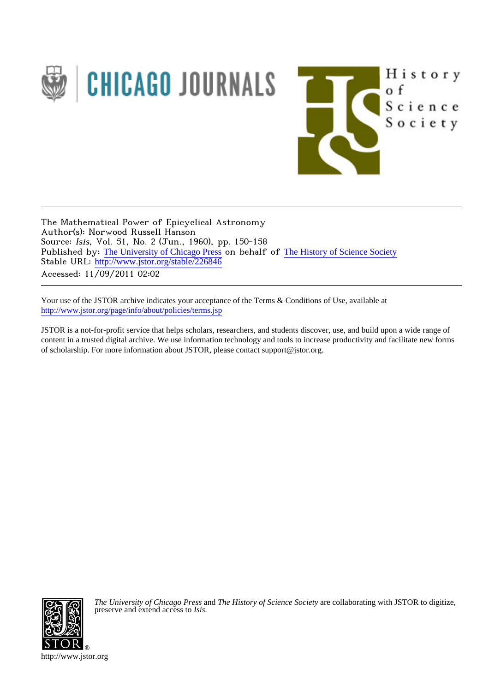

The Mathematical Power of Epicyclical Astronomy Author(s): Norwood Russell Hanson Source: Isis, Vol. 51, No. 2 (Jun., 1960), pp. 150-158 Published by: [The University of Chicago Press](http://www.jstor.org/action/showPublisher?publisherCode=ucpress) on behalf of [The History of Science Society](http://www.jstor.org/action/showPublisher?publisherCode=hss) Stable URL: http://www.jstor.org/stable/226846 Accessed: 11/09/2011 02:02

Your use of the JSTOR archive indicates your acceptance of the Terms & Conditions of Use, available at <http://www.jstor.org/page/info/about/policies/terms.jsp>

JSTOR is a not-for-profit service that helps scholars, researchers, and students discover, use, and build upon a wide range of content in a trusted digital archive. We use information technology and tools to increase productivity and facilitate new forms of scholarship. For more information about JSTOR, please contact support@jstor.org.



*The University of Chicago Press* and *The History of Science Society* are collaborating with JSTOR to digitize, preserve and extend access to *Isis.*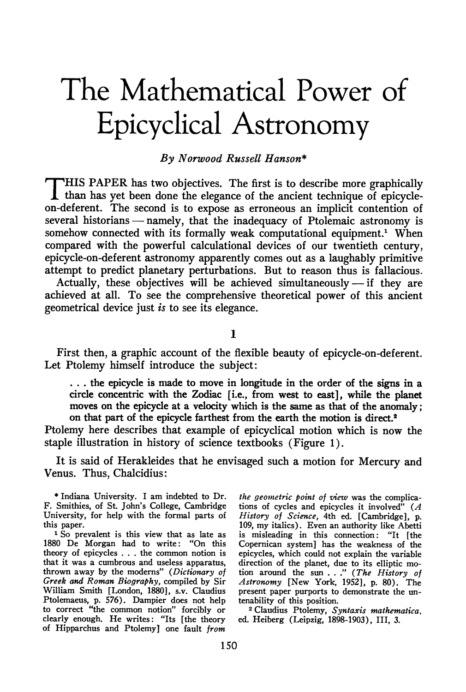## **The Mathematical Power of Epicyclical Astronomy**

## **By Norwood Russell Hanson\***

**T HIS PAPER has two objectives. The first is to describe more graphically than has yet been done the elegance of the ancient technique of epicycleon-deferent. The second is to expose as erroneous an implicit contention of several historians - namely, that the inadequacy of Ptolemaic astronomy is somehow connected with its formally weak computational equipment.' When compared with the powerful calculational devices of our twentieth century, epicycle-on-deferent astronomy apparently comes out as a laughably primitive attempt to predict planetary perturbations. But to reason thus is fallacious.** 

**Actually, these objectives will be achieved simultaneously - if they are achieved at all. To see the comprehensive theoretical power of this ancient geometrical device just is to see its elegance.** 

**1** 

**First then, a graphic account of the flexible beauty of epicycle-on-deferent. Let Ptolemy himself introduce the subject:** 

**... the epicycle is made to move in longitude in the order of the signs in a circle concentric with the Zodiac [i.e., from west to east], while the planet moves on the epicycle at a velocity which is the same as that of the anomaly; on that part of the epicycle farthest from the earth the motion is direct.2** 

**Ptolemy here describes that example of epicyclical motion which is now the staple illustration in history of science textbooks (Figure 1).** 

**It is said of Herakleides that he envisaged such a motion for Mercury and Venus. Thus, Chalcidius:** 

**the geometric point of view was the complications of cycles and epicycles it involved" (A History of Science, 4th ed. [Cambridge], p. 109, my italics). Even an authority like Abetti is misleading in this connection: "It [the Copernican system] has the weakness of the epicycles, which could not explain the variable direction of the planet, due to its elliptic motion around the sun . . ." (The History of Astronomy [New York, 1952], p. 80). The present paper purports to demonstrate the untenability of this position.** 

**<sup>2</sup>Claudius Ptolemy, Syntaxis mathematica, ed. Heiberg (Leipzig, 1898-1903), III, 3.** 

**<sup>\*</sup> Indiana University. I am indebted to Dr. F. Smithies, of St. John's College, Cambridge University, for help with the formal parts of this paper.** 

**<sup>1</sup> So prevalent is this view that as late as 1880 De Morgan had to write: "On this theory of epicycles . . . the common notion is that it was a cumbrous and useless apparatus, thrown away by the moderns" (Dictionary of Greek and Roman Biography, compiled by Sir William Smith [London, 1880], s.v. Claudius Ptolemaeus, p. 576). Dampier does not help to correct "the common notion" forcibly or clearly enough. He writes: "Its [the theory of Hipparchus and Ptolemy] one fault from**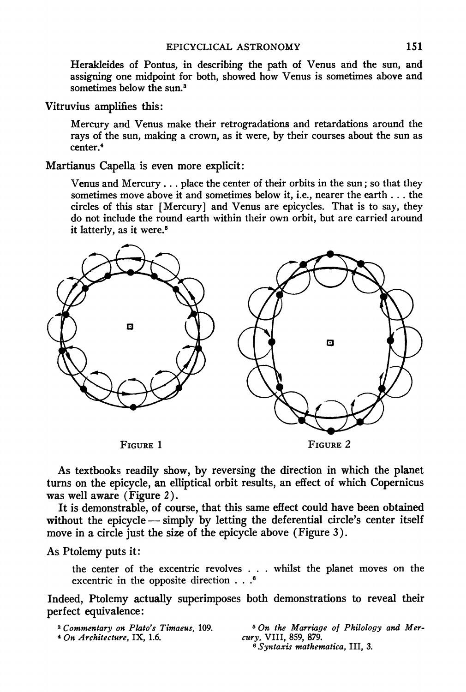**Herakleides of Pontus, in describing the path of Venus and the sun, and assigning one midpoint for both, showed how Venus is sometimes above and sometimes below the sun.3** 

**Vitruvius amplifies this:** 

**Mercury and Venus make their retrogradations and retardations around the rays of the sun, making a crown, as it were, by their courses about the sun as center.4** 

**Martianus Capella is even more explicit:** 

Venus and Mercury . . . place the center of their orbits in the sun; so that they **sometimes move above it and sometimes below it, i.e., nearer the earth ... the circles of this star [Mercury] and Venus are epicycles. That is to say, they**  do not include the round earth within their own orbit, but are carried around **it latterly, as it were.5** 



**As textbooks readily show, by reversing the direction in which the planet turns on the epicycle, an elliptical orbit results, an effect of which Copernicus was well aware (Figure 2).** 

**It is demonstrable, of course, that this same effect could have been obtained**  without the epicycle — simply by letting the deferential circle's center itself **move in a circle just the size of the epicycle above (Figure 3).** 

**As Ptolemy puts it:** 

**the center of the excentric revolves . . . whilst the planet moves on the excentric in the opposite direction . . .6** 

**Indeed, Ptolemy actually superimposes both demonstrations to reveal their perfect equivalence:** 

**3 Commentary on Plato's Timaeus, 109. 4 On Architecture, IX, 1.6.** 

**6 On the Marriage of Philology and Mercury, VIII, 859, 879.** 

**6 Syntaxis mathematica, III, 3.**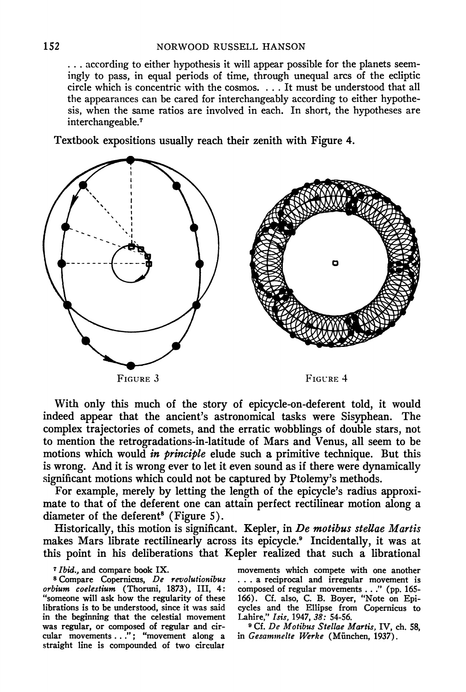**... according to either hypothesis it will appear possible for the planets seemingly to pass, in equal periods of time, through unequal arcs of the ecliptic circle which is concentric with the cosmos. . . . It must be understood that all the appearances can be cared for interchangeably according to either hypothesis, when the same ratios are involved in each. In short, the hypotheses are interchangeable.7** 

**Textbook expositions usually reach their zenith with Figure 4.** 



**With only this much of the story of epicycle-on-deferent told, it would indeed appear that the ancient's astronomical tasks were Sisyphean. The complex trajectories of comets, and the erratic wobblings of double stars, not to mention the retrogradations-in-latitude of Mars and Venus, all seem to be motions which would in principle elude such a primitive technique. But this is wrong. And it is wrong ever to let it even sound as if there were dynamically significant motions which could not be captured by Ptolemy's methods.** 

**For example, merely by letting the length of the epicycle's radius approximate to that of the deferent one can attain perfect rectilinear motion along a diameter of the deferent8 (Figure 5).** 

**Historically, this motion is significant. Kepler, in De motibus stellae Martis makes Mars librate rectilinearly across its epicycle.9 Incidentally, it was at this point in his deliberations that Kepler realized that such a librational** 

## **7Ibid., and compare book IX.**

**8 Compare Copernicus, De revolutionibus orbium coelestium (Thoruni, 1873), III, 4: "someone will ask how the regularity of these librations is to be understood, since it was said in the beginning that the celestial movement was regular, or composed of regular and circular movements . . ."; "movement along a straight line is compounded of two circular**  **movements which compete with one another ... a reciprocal and irregular movement is composed of regular movements . . ." (pp. 165- 166). Cf. also, C. B. Boyer, "Note on Epicycles and the Ellipse from Copernicus to Lahire," Isis, 1947, 38: 54-56.** 

**) Cf. De Motibus Stellae Martis, IV, ch. 58, in Gesamnelte Werke (Miinchen, 1937).**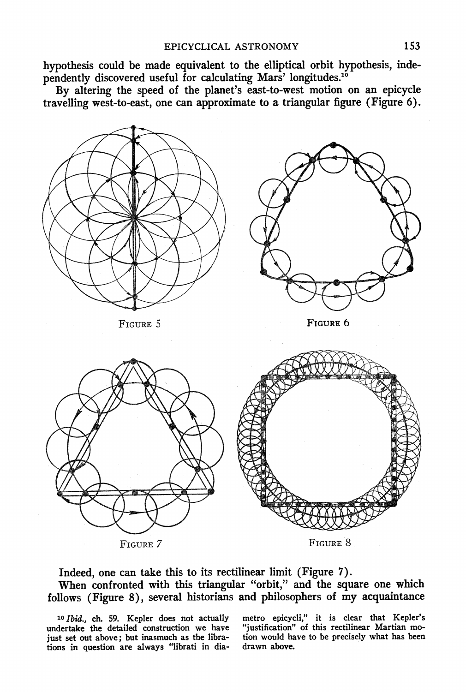**hypothesis could be made equivalent to the elliptical orbit hypothesis, independently discovered useful for calculating Mars' longitudes."0** 

**By altering the speed of the planet's east-to-west motion on an epicycle travelling west-to-east, one can approximate to a triangular figure (Figure 6).** 



**Indeed, one can take this to its rectilinear limit (Figure 7). When confronted with this triangular "orbit," and the square one which follows (Figure 8), several historians and philosophers of my acquaintance** 

**10 Ibid., ch. 59. Kepler does not actually undertake the detailed construction we have just set out above; but inasmuch as the librations in question are always "librati in dia-** **metro epicycli," it is clear that Kepler's "justification" of this rectilinear Martian motion would have to be precisely what has been drawn above.**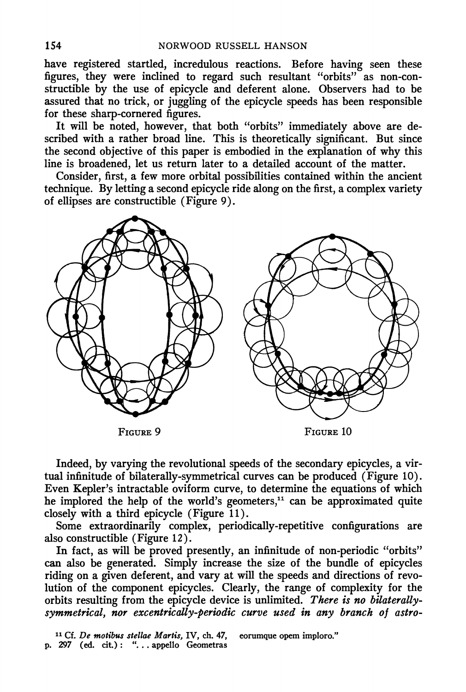**have registered startled, incredulous reactions. Before having seen these figures, they were inclined to regard such resultant "orbits" as non-constructible by the use of epicycle and deferent alone. Observers had to be assured that no trick, or juggling of the epicycle speeds has been responsible for these sharp-cornered figures.** 

**It will be noted, however, that both "orbits" immediately above are described with a rather broad line. This is theoretically significant. But since the second objective of this paper is embodied in the explanation of why this line is broadened, let us return later to a detailed account of the matter.** 

**Consider, first, a few more orbital possibilities contained within the ancient technique. By letting a second epicycle ride along on the first, a complex variety of ellipses are constructible (Figure 9).** 



**Indeed, by varying the revolutional speeds of the secondary epicycles, a virtual infinitude of bilaterally-symmetrical curves can be produced (Figure 10). Even Kepler's intractable oviform curve, to determine the equations of which**  he implored the help of the world's geometers,<sup>11</sup> can be approximated quite **closely with a third epicycle (Figure 11).** 

**Some extraordinarily complex, periodically-repetitive configurations are also constructible (Figure 12).** 

**In fact, as will be proved presently, an infinitude of non-periodic "orbits" can also be generated. Simply increase the size of the bundle of epicycles riding on a given deferent, and vary at will the speeds and directions of revolution of the component epicycles. Clearly, the range of complexity for the orbits resulting from the epicycle device is unlimited. There is no bilaterallysymmetrical, nor excentrically-periodic curve used in any branch of astro-**

**11 Cf. De motibus stellae Martis, IV, ch. 47, p. 297 (ed. cit.): ". . . appello Geometras eorumque opem imploro."**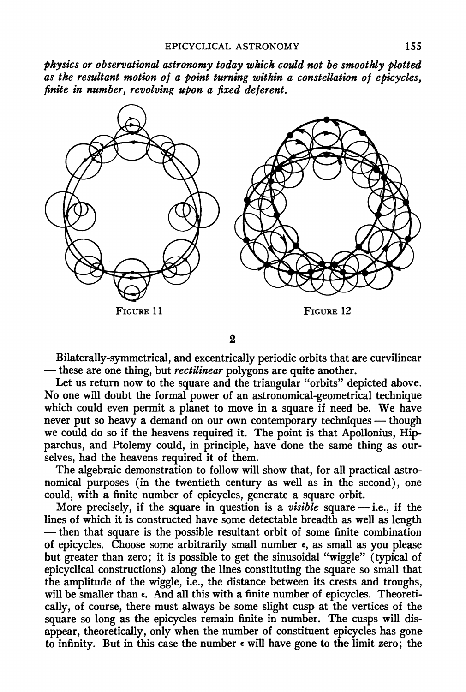**physics or observational astronomy today which could not be smootkly plotted as the resultant motion of a point turning within a constellation of epicycles, finite in number, revolving upon a fixed deferent.** 



**2** 

**Bilaterally-symmetrical, and excentrically periodic orbits that are curvilinear these are one thing, but rectilinear polygons are quite another.** 

**Let us return now to the square and the triangular "orbits" depicted above. No one will doubt the formal power of an astronomical-geometrical technique**  which could even permit a planet to move in a square if need be. We have never put so heavy a demand on our own contemporary techniques — though **we could do so if the heavens required it. The point is that Apollonius, Hip**parchus, and Ptolemy could, in principle, have done the same thing as our**selves, had the heavens required it of them.** 

**The algebraic demonstration to follow will show that, for all practical astronomical purposes (in the twentieth century as well as in the second), one could, with a finite number of epicycles, generate a square orbit.** 

**More precisely, if the square in question is a visible square -i.e., if the lines of which it is constructed have some detectable breadth as well as length then that square is the possible resultant orbit of some finite combination of epicycles. Choose some arbitrarily small number c, as small as you please but greater than zero; it is possible to get the sinusoidal "wiggle" (typical of epicyclical constructions) along the lines constituting the square so small that the amplitude of the wiggle, i.e., the distance between its crests and troughs,**  will be smaller than  $\epsilon$ . And all this with a finite number of epicycles. Theoreti**cally, of course, there must always be some slight cusp at the vertices of the**  square so long as the epicycles remain finite in number. The cusps will dis**appear, theoretically, only when the number of constituent epicycles has gone to infinity. But in this case the number e will have gone to the limit zero; the**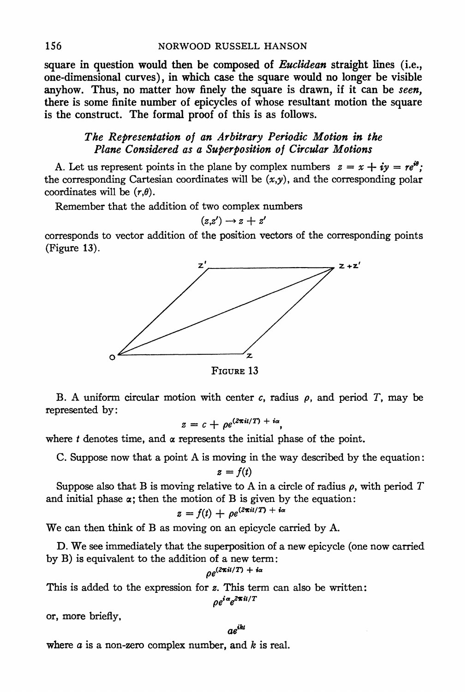**square in question would then be composed of Euclidean straight lines (i.e., one-dimensional curves), in which case the square would no longer be visible**  anyhow. Thus, no matter how finely the square is drawn, if it can be seen, **there is some finite number of epicycles of whose resultant motion the square is the construct. The formal proof of this is as follows.** 

## **The Representation of an Arbitrary Periodic Motion in the Plane Considered as a Superposition of Circular Motions**

A. Let us represent points in the plane by complex numbers  $z = x + iy = re^{i\theta}$ ; **the corresponding Cartesian coordinates will be (x,y), and the corresponding polar**  coordinates will be  $(r, \theta)$ .

**Remember that the addition of two complex numbers** 

$$
(z,z')\to z+z'
$$

**corresponds to vector addition of the position vectors of the corresponding points (Figure 13).** 



**FIGURE 13** 

**B.** A uniform circular motion with center c, radius  $\rho$ , and period T, may be **represented by:** 

$$
z = c + \rho e^{(2\pi i t/T) + i\alpha},
$$

where  $t$  denotes time, and  $\alpha$  represents the initial phase of the point.

**C. Suppose now that a point A is moving in the way described by the equation:** 

$$
z=f(t)
$$

Suppose also that B is moving relative to A in a circle of radius  $\rho$ , with period T and initial phase  $\alpha$ ; then the motion of B is given by the equation:

$$
z = f(t) + \rho e^{(2\pi it/T) + i\alpha}
$$

**We can then think of B as moving on an epicycle carried by A.** 

**D. We see immediately that the superposition of a new epicycle (one now carried by B) is equivalent to the addition of a new term:** 

$$
\rho e^{(2\pi i t/T)} + i\alpha
$$

**This is added to the expression for z. This term can also be written:** 

$$
\rho e^{i\alpha}e^{2\pi i t/T}
$$

**or, more briefly,** 

$$
ae^{ikt}
$$

**where a is a non-zero complex number, and k is real.**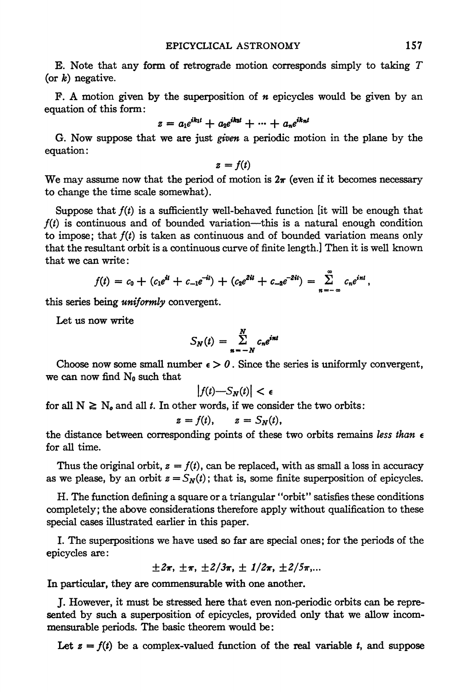**E. Note that any form of retrograde motion corresponds simply to taking T (or k) negative.** 

**F. A motion given by the superposition of n epicycles would be given by an equation of this form:** 

$$
z = a_1 e^{ik_1 t} + a_2 e^{ik_2 t} + \cdots + a_n e^{ik_n t}
$$

**G. Now suppose that we are just given a periodic motion in the plane by the equation:** 

$$
z = f(t)
$$

We may assume now that the period of motion is  $2\pi$  (even if it becomes necessary **to change the time scale somewhat).** 

Suppose that  $f(t)$  is a sufficiently well-behaved function [it will be enough that **f(t) is continuous and of bounded variation-this is a natural enough condition**  to impose; that  $f(t)$  is taken as continuous and of bounded variation means only **that the resultant orbit is a continuous curve of finite length.] Then it is well known that we can write:** 

$$
f(t) = c_0 + (c_1e^{it} + c_{-1}e^{-it}) + (c_2e^{2it} + c_{-2}e^{-2it}) = \sum_{n=-\infty}^{\infty} c_n e^{int},
$$

**this series being uniformly convergent.** 

**Let us now write** 

$$
S_N(t) = \sum_{n=-N}^{N} c_n e^{int}
$$

Choose now some small number  $\epsilon > 0$ . Since the series is uniformly convergent, we can now find N<sub>0</sub> such that

$$
\left|f(t)-S_N(t)\right|<\epsilon
$$

for all  $N \geq N_o$  and all t. In other words, if we consider the two orbits:

$$
z = f(t), \qquad z = S_N(t),
$$

the distance between corresponding points of these two orbits remains less than  $\epsilon$ **for all time.** 

Thus the original orbit,  $z = f(t)$ , can be replaced, with as small a loss in accuracy as we please, by an orbit  $z = S_N(t)$ ; that is, some finite superposition of epicycles.

**H. The function defining a square or a triangular "orbit" satisfies these conditions completely; the above considerations therefore apply without qualification to these special cases illustrated earlier in this paper.** 

**I. The superpositions we have used so far are special ones; for the periods of the epicycles are:** 

$$
\pm 2\pi
$$
,  $\pm \pi$ ,  $\pm 2/3\pi$ ,  $\pm 1/2\pi$ ,  $\pm 2/5\pi$ ,...

**In particular, they are commensurable with one another.** 

**J. However, it must be stressed here that even non-periodic orbits can be represented by such a superposition of epicycles, provided only that we allow incommensurable periods. The basic theorem would be:** 

Let  $s = f(t)$  be a complex-valued function of the real variable  $t$ , and suppose